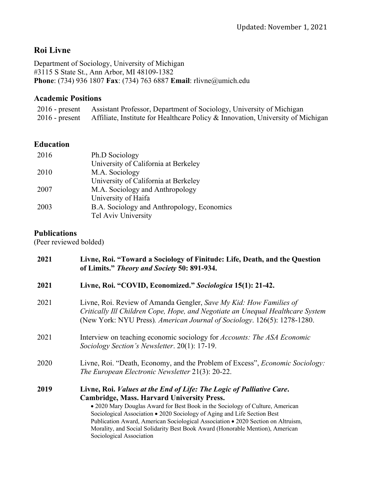# **Roi Livne**

Department of Sociology, University of Michigan #3115 S State St., Ann Arbor, MI 48109-1382 **Phone**: (734) 936 1807 **Fax**: (734) 763 6887 **Email**: rlivne@umich.edu

# **Academic Positions**

| $2016$ - present | Assistant Professor, Department of Sociology, University of Michigan            |
|------------------|---------------------------------------------------------------------------------|
| $2016$ - present | Affiliate, Institute for Healthcare Policy & Innovation, University of Michigan |

### **Education**

| 2016 | Ph.D Sociology                             |
|------|--------------------------------------------|
|      | University of California at Berkeley       |
| 2010 | M.A. Sociology                             |
|      | University of California at Berkeley       |
| 2007 | M.A. Sociology and Anthropology            |
|      | University of Haifa                        |
| 2003 | B.A. Sociology and Anthropology, Economics |
|      | Tel Aviv University                        |
|      |                                            |

### **Publications**

(Peer reviewed bolded)

| Livne, Roi. "Toward a Sociology of Finitude: Life, Death, and the Question<br>of Limits." Theory and Society 50: 891-934.                                                                                                                                                                                                                                                                                                                                                                      |
|------------------------------------------------------------------------------------------------------------------------------------------------------------------------------------------------------------------------------------------------------------------------------------------------------------------------------------------------------------------------------------------------------------------------------------------------------------------------------------------------|
| Livne, Roi. "COVID, Economized." Sociologica 15(1): 21-42.                                                                                                                                                                                                                                                                                                                                                                                                                                     |
| Livne, Roi. Review of Amanda Gengler, Save My Kid: How Families of<br>Critically Ill Children Cope, Hope, and Negotiate an Unequal Healthcare System<br>(New York: NYU Press). American Journal of Sociology. 126(5): 1278-1280.                                                                                                                                                                                                                                                               |
| Interview on teaching economic sociology for <i>Accounts: The ASA Economic</i><br>Sociology Section's Newsletter. 20(1): 17-19.                                                                                                                                                                                                                                                                                                                                                                |
| Livne, Roi. "Death, Economy, and the Problem of Excess", Economic Sociology:<br>The European Electronic Newsletter 21(3): 20-22.                                                                                                                                                                                                                                                                                                                                                               |
| Livne, Roi. <i>Values at the End of Life: The Logic of Palliative Care.</i><br><b>Cambridge, Mass. Harvard University Press.</b><br>• 2020 Mary Douglas Award for Best Book in the Sociology of Culture, American<br>Sociological Association • 2020 Sociology of Aging and Life Section Best<br>Publication Award, American Sociological Association • 2020 Section on Altruism,<br>Morality, and Social Solidarity Best Book Award (Honorable Mention), American<br>Sociological Association |
|                                                                                                                                                                                                                                                                                                                                                                                                                                                                                                |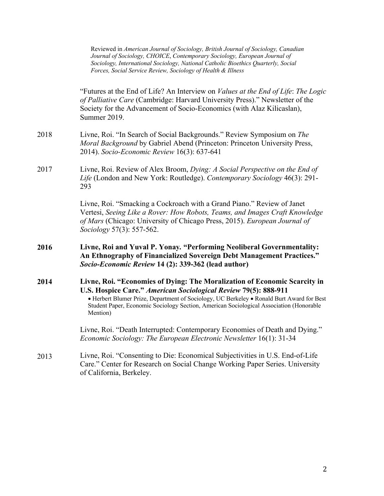|      | Reviewed in American Journal of Sociology, British Journal of Sociology, Canadian<br>Journal of Sociology, CHOICE, Contemporary Sociology, European Journal of<br>Sociology, International Sociology, National Catholic Bioethics Quarterly, Social<br>Forces, Social Service Review, Sociology of Health & Illness                              |
|------|--------------------------------------------------------------------------------------------------------------------------------------------------------------------------------------------------------------------------------------------------------------------------------------------------------------------------------------------------|
|      | "Futures at the End of Life? An Interview on <i>Values at the End of Life: The Logic</i><br>of Palliative Care (Cambridge: Harvard University Press)." Newsletter of the<br>Society for the Advancement of Socio-Economics (with Alaz Kilicaslan),<br>Summer 2019.                                                                               |
| 2018 | Livne, Roi. "In Search of Social Backgrounds." Review Symposium on The<br>Moral Background by Gabriel Abend (Princeton: Princeton University Press,<br>2014). Socio-Economic Review 16(3): 637-641                                                                                                                                               |
| 2017 | Livne, Roi. Review of Alex Broom, Dying: A Social Perspective on the End of<br>Life (London and New York: Routledge). Contemporary Sociology 46(3): 291-<br>293                                                                                                                                                                                  |
|      | Livne, Roi. "Smacking a Cockroach with a Grand Piano." Review of Janet<br>Vertesi, Seeing Like a Rover: How Robots, Teams, and Images Craft Knowledge<br>of Mars (Chicago: University of Chicago Press, 2015). European Journal of<br>Sociology 57(3): 557-562.                                                                                  |
| 2016 | Livne, Roi and Yuval P. Yonay. "Performing Neoliberal Governmentality:<br>An Ethnography of Financialized Sovereign Debt Management Practices."<br>Socio-Economic Review 14 (2): 339-362 (lead author)                                                                                                                                           |
| 2014 | Livne, Roi. "Economies of Dying: The Moralization of Economic Scarcity in<br>U.S. Hospice Care." American Sociological Review 79(5): 888-911<br>• Herbert Blumer Prize, Department of Sociology, UC Berkeley • Ronald Burt Award for Best<br>Student Paper, Economic Sociology Section, American Sociological Association (Honorable<br>Mention) |
|      | Livne, Roi. "Death Interrupted: Contemporary Economies of Death and Dying."<br>Economic Sociology: The European Electronic Newsletter 16(1): 31-34                                                                                                                                                                                               |
| 2013 | Livne, Roi. "Consenting to Die: Economical Subjectivities in U.S. End-of-Life<br>Care." Center for Research on Social Change Working Paper Series. University<br>of California, Berkeley.                                                                                                                                                        |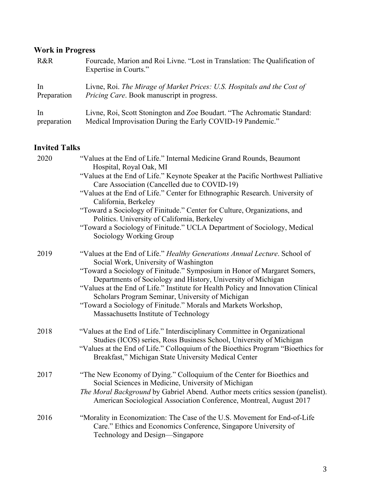# **Work in Progress**

| R&R         | Fourcade, Marion and Roi Livne. "Lost in Translation: The Qualification of<br>Expertise in Courts." |
|-------------|-----------------------------------------------------------------------------------------------------|
| In          | Livne, Roi. The Mirage of Market Prices: U.S. Hospitals and the Cost of                             |
| Preparation | <i>Pricing Care.</i> Book manuscript in progress.                                                   |
| In          | Livne, Roi, Scott Stonington and Zoe Boudart. "The Achromatic Standard:                             |
| preparation | Medical Improvisation During the Early COVID-19 Pandemic."                                          |

# **Invited Talks**

| 2020 | "Values at the End of Life." Internal Medicine Grand Rounds, Beaumont<br>Hospital, Royal Oak, MI                                                                                                               |
|------|----------------------------------------------------------------------------------------------------------------------------------------------------------------------------------------------------------------|
|      | "Values at the End of Life." Keynote Speaker at the Pacific Northwest Palliative<br>Care Association (Cancelled due to COVID-19)                                                                               |
|      | "Values at the End of Life." Center for Ethnographic Research. University of<br>California, Berkeley                                                                                                           |
|      | "Toward a Sociology of Finitude." Center for Culture, Organizations, and<br>Politics. University of California, Berkeley                                                                                       |
|      | "Toward a Sociology of Finitude." UCLA Department of Sociology, Medical<br>Sociology Working Group                                                                                                             |
| 2019 | "Values at the End of Life." Healthy Generations Annual Lecture. School of<br>Social Work, University of Washington                                                                                            |
|      | "Toward a Sociology of Finitude." Symposium in Honor of Margaret Somers,<br>Departments of Sociology and History, University of Michigan                                                                       |
|      | "Values at the End of Life." Institute for Health Policy and Innovation Clinical<br>Scholars Program Seminar, University of Michigan                                                                           |
|      | "Toward a Sociology of Finitude." Morals and Markets Workshop,<br>Massachusetts Institute of Technology                                                                                                        |
| 2018 | "Values at the End of Life." Interdisciplinary Committee in Organizational                                                                                                                                     |
|      | Studies (ICOS) series, Ross Business School, University of Michigan<br>"Values at the End of Life." Colloquium of the Bioethics Program "Bioethics for<br>Breakfast," Michigan State University Medical Center |
| 2017 | "The New Economy of Dying." Colloquium of the Center for Bioethics and<br>Social Sciences in Medicine, University of Michigan                                                                                  |
|      | The Moral Background by Gabriel Abend. Author meets critics session (panelist).<br>American Sociological Association Conference, Montreal, August 2017                                                         |
| 2016 | "Morality in Economization: The Case of the U.S. Movement for End-of-Life<br>Care." Ethics and Economics Conference, Singapore University of<br>Technology and Design-Singapore                                |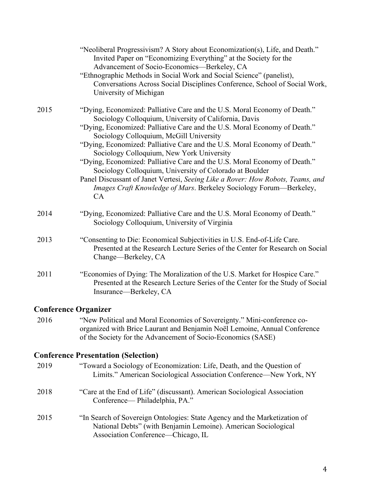|      | "Neoliberal Progressivism? A Story about Economization(s), Life, and Death."<br>Invited Paper on "Economizing Everything" at the Society for the<br>Advancement of Socio-Economics-Berkeley, CA<br>"Ethnographic Methods in Social Work and Social Science" (panelist),<br>Conversations Across Social Disciplines Conference, School of Social Work,<br>University of Michigan                                                                                                                                                                                                                                                                                                            |
|------|--------------------------------------------------------------------------------------------------------------------------------------------------------------------------------------------------------------------------------------------------------------------------------------------------------------------------------------------------------------------------------------------------------------------------------------------------------------------------------------------------------------------------------------------------------------------------------------------------------------------------------------------------------------------------------------------|
| 2015 | "Dying, Economized: Palliative Care and the U.S. Moral Economy of Death."<br>Sociology Colloquium, University of California, Davis<br>"Dying, Economized: Palliative Care and the U.S. Moral Economy of Death."<br>Sociology Colloquium, McGill University<br>"Dying, Economized: Palliative Care and the U.S. Moral Economy of Death."<br>Sociology Colloquium, New York University<br>"Dying, Economized: Palliative Care and the U.S. Moral Economy of Death."<br>Sociology Colloquium, University of Colorado at Boulder<br>Panel Discussant of Janet Vertesi, Seeing Like a Rover: How Robots, Teams, and<br>Images Craft Knowledge of Mars. Berkeley Sociology Forum—Berkeley,<br>CA |
| 2014 | "Dying, Economized: Palliative Care and the U.S. Moral Economy of Death."<br>Sociology Colloquium, University of Virginia                                                                                                                                                                                                                                                                                                                                                                                                                                                                                                                                                                  |
| 2013 | "Consenting to Die: Economical Subjectivities in U.S. End-of-Life Care.<br>Presented at the Research Lecture Series of the Center for Research on Social<br>Change—Berkeley, CA                                                                                                                                                                                                                                                                                                                                                                                                                                                                                                            |
| 2011 | "Economies of Dying: The Moralization of the U.S. Market for Hospice Care."<br>Presented at the Research Lecture Series of the Center for the Study of Social<br>Insurance—Berkeley, CA                                                                                                                                                                                                                                                                                                                                                                                                                                                                                                    |
|      |                                                                                                                                                                                                                                                                                                                                                                                                                                                                                                                                                                                                                                                                                            |

# **Conference Organizer**

2016 "New Political and Moral Economies of Sovereignty." Mini-conference coorganized with Brice Laurant and Benjamin Noël Lemoine, Annual Conference of the Society for the Advancement of Socio-Economics (SASE)

### **Conference Presentation (Selection)**

| 2019 | "Toward a Sociology of Economization: Life, Death, and the Question of<br>Limits." American Sociological Association Conference—New York, NY                                      |
|------|-----------------------------------------------------------------------------------------------------------------------------------------------------------------------------------|
| 2018 | "Care at the End of Life" (discussant). American Sociological Association<br>Conference— Philadelphia, PA."                                                                       |
| 2015 | "In Search of Sovereign Ontologies: State Agency and the Marketization of<br>National Debts" (with Benjamin Lemoine). American Sociological<br>Association Conference—Chicago, IL |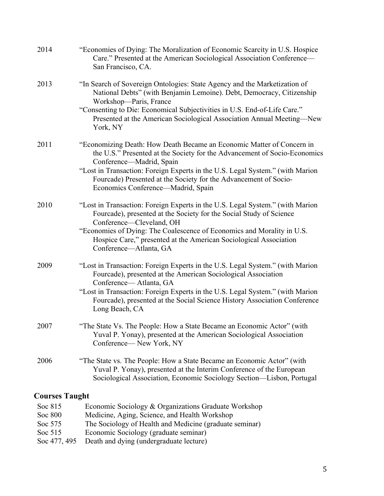| 2014                  | "Economies of Dying: The Moralization of Economic Scarcity in U.S. Hospice<br>Care." Presented at the American Sociological Association Conference—<br>San Francisco, CA.                                                                                                                                                                                                 |
|-----------------------|---------------------------------------------------------------------------------------------------------------------------------------------------------------------------------------------------------------------------------------------------------------------------------------------------------------------------------------------------------------------------|
| 2013                  | "In Search of Sovereign Ontologies: State Agency and the Marketization of<br>National Debts" (with Benjamin Lemoine). Debt, Democracy, Citizenship<br>Workshop-Paris, France<br>"Consenting to Die: Economical Subjectivities in U.S. End-of-Life Care."<br>Presented at the American Sociological Association Annual Meeting-New<br>York, NY                             |
| 2011                  | "Economizing Death: How Death Became an Economic Matter of Concern in<br>the U.S." Presented at the Society for the Advancement of Socio-Economics<br>Conference—Madrid, Spain<br>"Lost in Transaction: Foreign Experts in the U.S. Legal System." (with Marion<br>Fourcade) Presented at the Society for the Advancement of Socio-<br>Economics Conference—Madrid, Spain |
| 2010                  | "Lost in Transaction: Foreign Experts in the U.S. Legal System." (with Marion<br>Fourcade), presented at the Society for the Social Study of Science<br>Conference-Cleveland, OH<br>"Economies of Dying: The Coalescence of Economics and Morality in U.S.<br>Hospice Care," presented at the American Sociological Association<br>Conference-Atlanta, GA                 |
| 2009                  | "Lost in Transaction: Foreign Experts in the U.S. Legal System." (with Marion<br>Fourcade), presented at the American Sociological Association<br>Conference-Atlanta, GA<br>"Lost in Transaction: Foreign Experts in the U.S. Legal System." (with Marion<br>Fourcade), presented at the Social Science History Association Conference<br>Long Beach, CA                  |
| 2007                  | "The State Vs. The People: How a State Became an Economic Actor" (with<br>Yuval P. Yonay), presented at the American Sociological Association<br>Conference— New York, NY                                                                                                                                                                                                 |
| 2006                  | "The State vs. The People: How a State Became an Economic Actor" (with<br>Yuval P. Yonay), presented at the Interim Conference of the European<br>Sociological Association, Economic Sociology Section-Lisbon, Portugal                                                                                                                                                   |
| <b>Courses Taught</b> |                                                                                                                                                                                                                                                                                                                                                                           |

| Soc 815      | Economic Sociology & Organizations Graduate Workshop    |
|--------------|---------------------------------------------------------|
| Soc 800      | Medicine, Aging, Science, and Health Workshop           |
| Soc 575      | The Sociology of Health and Medicine (graduate seminar) |
| Soc $515$    | Economic Sociology (graduate seminar)                   |
| Soc 477, 495 | Death and dying (undergraduate lecture)                 |
|              |                                                         |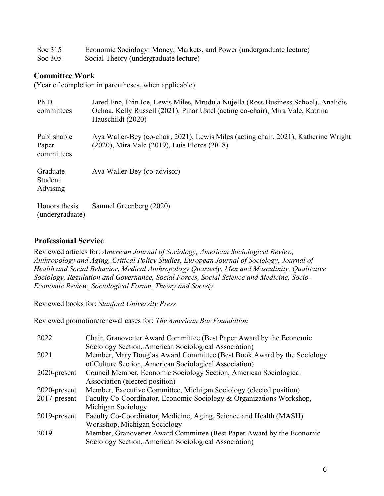| Soc $315$ | Economic Sociology: Money, Markets, and Power (undergraduate lecture) |
|-----------|-----------------------------------------------------------------------|
| Soc 305   | Social Theory (undergraduate lecture)                                 |

#### **Committee Work**

(Year of completion in parentheses, when applicable)

| Ph.D<br>committees                 | Jared Eno, Erin Ice, Lewis Miles, Mrudula Nujella (Ross Business School), Analidis<br>Ochoa, Kelly Russell (2021), Pinar Ustel (acting co-chair), Mira Vale, Katrina<br>Hauschildt (2020) |
|------------------------------------|-------------------------------------------------------------------------------------------------------------------------------------------------------------------------------------------|
| Publishable<br>Paper<br>committees | Aya Waller-Bey (co-chair, 2021), Lewis Miles (acting chair, 2021), Katherine Wright<br>(2020), Mira Vale (2019), Luis Flores (2018)                                                       |
| Graduate<br>Student<br>Advising    | Aya Waller-Bey (co-advisor)                                                                                                                                                               |
| Honors thesis<br>(undergraduate)   | Samuel Greenberg (2020)                                                                                                                                                                   |

#### **Professional Service**

Reviewed articles for: *American Journal of Sociology, American Sociological Review, Anthropology and Aging, Critical Policy Studies, European Journal of Sociology, Journal of Health and Social Behavior, Medical Anthropology Quarterly, Men and Masculinity, Qualitative Sociology, Regulation and Governance, Social Forces, Social Science and Medicine, Socio-Economic Review, Sociological Forum, Theory and Society*

Reviewed books for: *Stanford University Press*

Reviewed promotion/renewal cases for: *The American Bar Foundation*

| 2022            | Chair, Granovetter Award Committee (Best Paper Award by the Economic   |
|-----------------|------------------------------------------------------------------------|
|                 | Sociology Section, American Sociological Association)                  |
| 2021            | Member, Mary Douglas Award Committee (Best Book Award by the Sociology |
|                 | of Culture Section, American Sociological Association)                 |
| $2020$ -present | Council Member, Economic Sociology Section, American Sociological      |
|                 | Association (elected position)                                         |
| $2020$ -present | Member, Executive Committee, Michigan Sociology (elected position)     |
| 2017-present    | Faculty Co-Coordinator, Economic Sociology & Organizations Workshop,   |
|                 | Michigan Sociology                                                     |
| $2019$ -present | Faculty Co-Coordinator, Medicine, Aging, Science and Health (MASH)     |
|                 | Workshop, Michigan Sociology                                           |
| 2019            | Member, Granovetter Award Committee (Best Paper Award by the Economic  |
|                 | Sociology Section, American Sociological Association)                  |